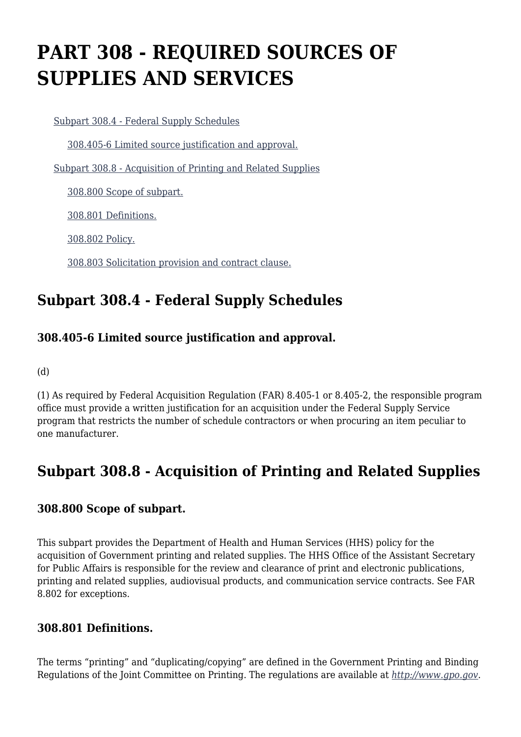# **PART 308 - REQUIRED SOURCES OF SUPPLIES AND SERVICES**

[Subpart 308.4 - Federal Supply Schedules](https://origin-www.acquisition.gov/%5Brp:link:hhsar-part-308%5D#Subpart_308_4_T48_401291)

[308.405-6 Limited source justification and approval.](https://origin-www.acquisition.gov/%5Brp:link:hhsar-part-308%5D#Section_308_405_6_T48_40129111)

[Subpart 308.8 - Acquisition of Printing and Related Supplies](https://origin-www.acquisition.gov/%5Brp:link:hhsar-part-308%5D#Subpart_308_8_T48_401292)

[308.800 Scope of subpart.](https://origin-www.acquisition.gov/%5Brp:link:hhsar-part-308%5D#Section_308_800_T48_40129211)

[308.801 Definitions.](https://origin-www.acquisition.gov/%5Brp:link:hhsar-part-308%5D#Section_308_801_T48_40129212)

[308.802 Policy.](https://origin-www.acquisition.gov/%5Brp:link:hhsar-part-308%5D#Section_308_802_T48_40129213)

[308.803 Solicitation provision and contract clause.](https://origin-www.acquisition.gov/%5Brp:link:hhsar-part-308%5D#Section_308_803_T48_40129214)

## **Subpart 308.4 - Federal Supply Schedules**

## **308.405-6 Limited source justification and approval.**

(d)

(1) As required by Federal Acquisition Regulation (FAR) 8.405-1 or 8.405-2, the responsible program office must provide a written justification for an acquisition under the Federal Supply Service program that restricts the number of schedule contractors or when procuring an item peculiar to one manufacturer.

# **Subpart 308.8 - Acquisition of Printing and Related Supplies**

#### **308.800 Scope of subpart.**

This subpart provides the Department of Health and Human Services (HHS) policy for the acquisition of Government printing and related supplies. The HHS Office of the Assistant Secretary for Public Affairs is responsible for the review and clearance of print and electronic publications, printing and related supplies, audiovisual products, and communication service contracts. See FAR 8.802 for exceptions.

#### **308.801 Definitions.**

The terms "printing" and "duplicating/copying" are defined in the Government Printing and Binding Regulations of the Joint Committee on Printing. The regulations are available at *<http://www.gpo.gov>*.